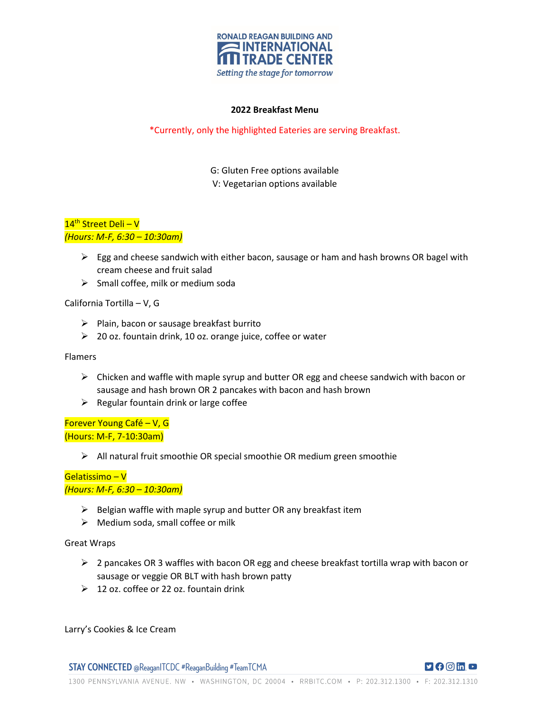

### **2022 Breakfast Menu**

## \*Currently, only the highlighted Eateries are serving Breakfast.

G: Gluten Free options available V: Vegetarian options available

# 14<sup>th</sup> Street Deli - V *(Hours: M-F, 6:30 – 10:30am)*

- $\triangleright$  Egg and cheese sandwich with either bacon, sausage or ham and hash browns OR bagel with cream cheese and fruit salad
- $\triangleright$  Small coffee, milk or medium soda

California Tortilla – V, G

- $\triangleright$  Plain, bacon or sausage breakfast burrito
- $\geq$  20 oz. fountain drink, 10 oz. orange juice, coffee or water

#### Flamers

- $\triangleright$  Chicken and waffle with maple syrup and butter OR egg and cheese sandwich with bacon or sausage and hash brown OR 2 pancakes with bacon and hash brown
- $\triangleright$  Regular fountain drink or large coffee

Forever Young Café – V, G (Hours: M-F, 7-10:30am)

 $\triangleright$  All natural fruit smoothie OR special smoothie OR medium green smoothie

## Gelatissimo – V *(Hours: M-F, 6:30 – 10:30am)*

- $\triangleright$  Belgian waffle with maple syrup and butter OR any breakfast item
- $\triangleright$  Medium soda, small coffee or milk

Great Wraps

- $\triangleright$  2 pancakes OR 3 waffles with bacon OR egg and cheese breakfast tortilla wrap with bacon or sausage or veggie OR BLT with hash brown patty
- $\geq 12$  oz. coffee or 22 oz. fountain drink

Larry's Cookies & Ice Cream

**STAY CONNECTED** @ReaganITCDC #ReaganBuilding #TeamTCMA